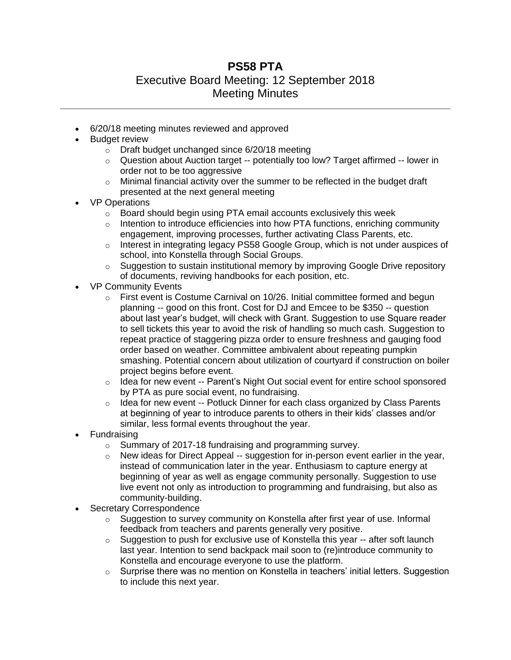## **PS58 PTA**

## Executive Board Meeting: 12 September 2018 Meeting Minutes

- 6/20/18 meeting minutes reviewed and approved
- Budget review
	- o Draft budget unchanged since 6/20/18 meeting
	- o Question about Auction target -- potentially too low? Target affirmed -- lower in order not to be too aggressive
	- $\circ$  Minimal financial activity over the summer to be reflected in the budget draft presented at the next general meeting
- VP Operations
	- o Board should begin using PTA email accounts exclusively this week
	- $\circ$  Intention to introduce efficiencies into how PTA functions, enriching community engagement, improving processes, further activating Class Parents, etc.
	- $\circ$  Interest in integrating legacy PS58 Google Group, which is not under auspices of school, into Konstella through Social Groups.
	- $\circ$  Suggestion to sustain institutional memory by improving Google Drive repository of documents, reviving handbooks for each position, etc.
- VP Community Events
	- o First event is Costume Carnival on 10/26. Initial committee formed and begun planning -- good on this front. Cost for DJ and Emcee to be \$350 -- question about last year's budget, will check with Grant. Suggestion to use Square reader to sell tickets this year to avoid the risk of handling so much cash. Suggestion to repeat practice of staggering pizza order to ensure freshness and gauging food order based on weather. Committee ambivalent about repeating pumpkin smashing. Potential concern about utilization of courtyard if construction on boiler project begins before event.
	- $\circ$  Idea for new event -- Parent's Night Out social event for entire school sponsored by PTA as pure social event, no fundraising.
	- $\circ$  Idea for new event -- Potluck Dinner for each class organized by Class Parents at beginning of year to introduce parents to others in their kids' classes and/or similar, less formal events throughout the year.
- Fundraising
	- o Summary of 2017-18 fundraising and programming survey.
	- $\circ$  New ideas for Direct Appeal -- suggestion for in-person event earlier in the year, instead of communication later in the year. Enthusiasm to capture energy at beginning of year as well as engage community personally. Suggestion to use live event not only as introduction to programming and fundraising, but also as community-building.
- Secretary Correspondence
	- $\circ$  Suggestion to survey community on Konstella after first year of use. Informal feedback from teachers and parents generally very positive.
	- $\circ$  Suggestion to push for exclusive use of Konstella this year -- after soft launch last year. Intention to send backpack mail soon to (re)introduce community to Konstella and encourage everyone to use the platform.
	- $\circ$  Surprise there was no mention on Konstella in teachers' initial letters. Suggestion to include this next year.